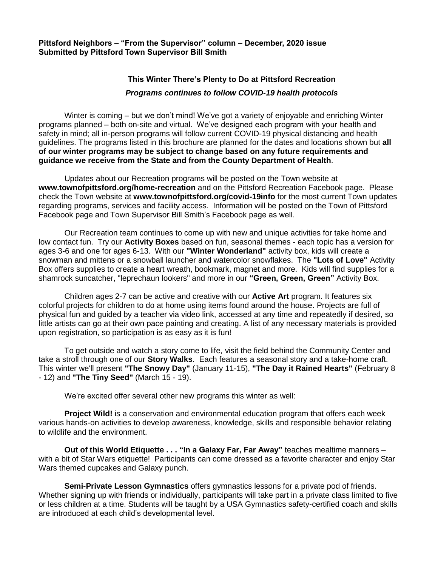**Pittsford Neighbors – "From the Supervisor" column – December, 2020 issue Submitted by Pittsford Town Supervisor Bill Smith**

## **This Winter There's Plenty to Do at Pittsford Recreation** *Programs continues to follow COVID-19 health protocols*

Winter is coming – but we don't mind! We've got a variety of enjoyable and enriching Winter programs planned – both on-site and virtual. We've designed each program with your health and safety in mind; all in-person programs will follow current COVID-19 physical distancing and health guidelines. The programs listed in this brochure are planned for the dates and locations shown but **all of our winter programs may be subject to change based on any future requirements and guidance we receive from the State and from the County Department of Health**.

Updates about our Recreation programs will be posted on the Town website at **www.townofpittsford.org/home-recreation** and on the Pittsford Recreation Facebook page. Please check the Town website at **www.townofpittsford.org/covid-19info** for the most current Town updates regarding programs, services and facility access. Information will be posted on the Town of Pittsford Facebook page and Town Supervisor Bill Smith's Facebook page as well.

Our Recreation team continues to come up with new and unique activities for take home and low contact fun. Try our **Activity Boxes** based on fun, seasonal themes - each topic has a version for ages 3-6 and one for ages 6-13. With our **"Winter Wonderland"** activity box, kids will create a snowman and mittens or a snowball launcher and watercolor snowflakes. The **"Lots of Love"** Activity Box offers supplies to create a heart wreath, bookmark, magnet and more. Kids will find supplies for a shamrock suncatcher, "leprechaun lookers" and more in our **"Green, Green, Green"** Activity Box.

Children ages 2-7 can be active and creative with our **Active Art** program. It features six colorful projects for children to do at home using items found around the house. Projects are full of physical fun and guided by a teacher via video link, accessed at any time and repeatedly if desired, so little artists can go at their own pace painting and creating. A list of any necessary materials is provided upon registration, so participation is as easy as it is fun!

To get outside and watch a story come to life, visit the field behind the Community Center and take a stroll through one of our **Story Walks**. Each features a seasonal story and a take-home craft. This winter we'll present **"The Snowy Day"** (January 11-15), **"The Day it Rained Hearts"** (February 8 - 12) and **"The Tiny Seed"** (March 15 - 19).

We're excited offer several other new programs this winter as well:

**Project Wild!** is a conservation and environmental education program that offers each week various hands-on activities to develop awareness, knowledge, skills and responsible behavior relating to wildlife and the environment.

**Out of this World Etiquette . . . "In a Galaxy Far, Far Away"** teaches mealtime manners – with a bit of Star Wars etiquette! Participants can come dressed as a favorite character and enjoy Star Wars themed cupcakes and Galaxy punch.

**Semi-Private Lesson Gymnastics** offers gymnastics lessons for a private pod of friends. Whether signing up with friends or individually, participants will take part in a private class limited to five or less children at a time. Students will be taught by a USA Gymnastics safety-certified coach and skills are introduced at each child's developmental level.